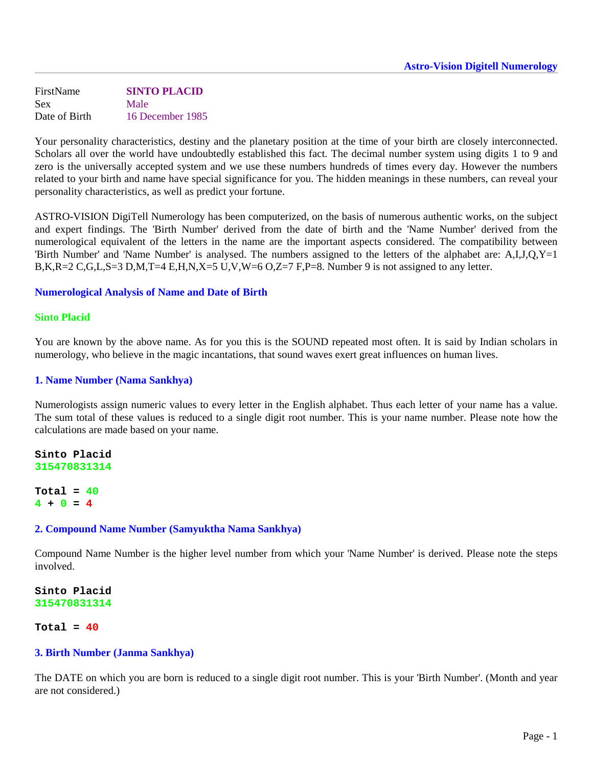FirstName **SINTO PLACID**  Sex Male Date of Birth 16 December 1985

Your personality characteristics, destiny and the planetary position at the time of your birth are closely interconnected. Scholars all over the world have undoubtedly established this fact. The decimal number system using digits 1 to 9 and zero is the universally accepted system and we use these numbers hundreds of times every day. However the numbers related to your birth and name have special significance for you. The hidden meanings in these numbers, can reveal your personality characteristics, as well as predict your fortune.

ASTRO-VISION DigiTell Numerology has been computerized, on the basis of numerous authentic works, on the subject and expert findings. The 'Birth Number' derived from the date of birth and the 'Name Number' derived from the numerological equivalent of the letters in the name are the important aspects considered. The compatibility between 'Birth Number' and 'Name Number' is analysed. The numbers assigned to the letters of the alphabet are: A,I,J,Q,Y=1 B,K,R=2 C,G,L,S=3 D,M,T=4 E,H,N,X=5 U,V,W=6 O,Z=7 F,P=8. Number 9 is not assigned to any letter.

### **Numerological Analysis of Name and Date of Birth**

### **Sinto Placid**

You are known by the above name. As for you this is the SOUND repeated most often. It is said by Indian scholars in numerology, who believe in the magic incantations, that sound waves exert great influences on human lives.

### **1. Name Number (Nama Sankhya)**

Numerologists assign numeric values to every letter in the English alphabet. Thus each letter of your name has a value. The sum total of these values is reduced to a single digit root number. This is your name number. Please note how the calculations are made based on your name.

**Sinto Placid 315470831314**

**Total = 40 4 + 0 = 4**

#### **2. Compound Name Number (Samyuktha Nama Sankhya)**

Compound Name Number is the higher level number from which your 'Name Number' is derived. Please note the steps involved.

**Sinto Placid 315470831314**

**Total = 40**

### **3. Birth Number (Janma Sankhya)**

The DATE on which you are born is reduced to a single digit root number. This is your 'Birth Number'. (Month and year are not considered.)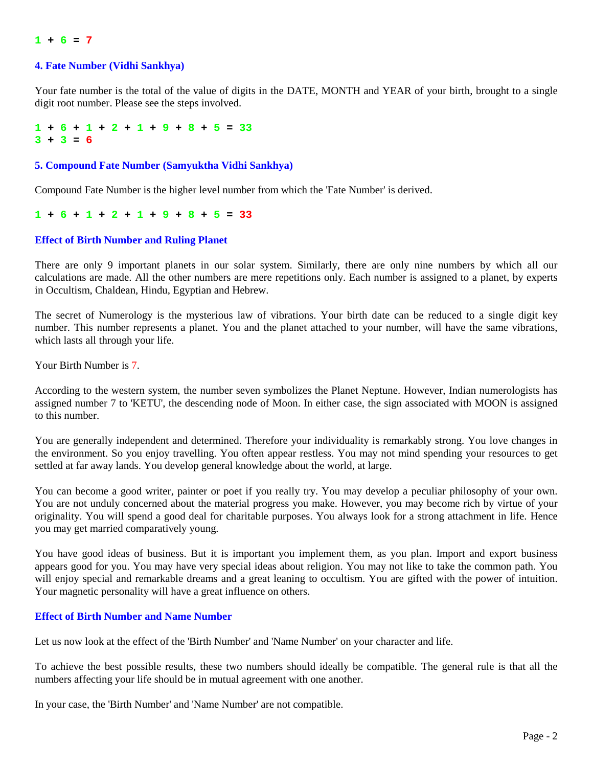### $1 + 6 = 7$

### **4. Fate Number (Vidhi Sankhya)**

Your fate number is the total of the value of digits in the DATE, MONTH and YEAR of your birth, brought to a single digit root number. Please see the steps involved.

 $1 + 6 + 1 + 2 + 1 + 9 + 8 + 5 = 33$ **3 + 3 = 6**

### **5. Compound Fate Number (Samyuktha Vidhi Sankhya)**

Compound Fate Number is the higher level number from which the 'Fate Number' is derived.

 $1 + 6 + 1 + 2 + 1 + 9 + 8 + 5 = 33$ 

### **Effect of Birth Number and Ruling Planet**

There are only 9 important planets in our solar system. Similarly, there are only nine numbers by which all our calculations are made. All the other numbers are mere repetitions only. Each number is assigned to a planet, by experts in Occultism, Chaldean, Hindu, Egyptian and Hebrew.

The secret of Numerology is the mysterious law of vibrations. Your birth date can be reduced to a single digit key number. This number represents a planet. You and the planet attached to your number, will have the same vibrations, which lasts all through your life.

Your Birth Number is 7.

According to the western system, the number seven symbolizes the Planet Neptune. However, Indian numerologists has assigned number 7 to 'KETU', the descending node of Moon. In either case, the sign associated with MOON is assigned to this number.

You are generally independent and determined. Therefore your individuality is remarkably strong. You love changes in the environment. So you enjoy travelling. You often appear restless. You may not mind spending your resources to get settled at far away lands. You develop general knowledge about the world, at large.

You can become a good writer, painter or poet if you really try. You may develop a peculiar philosophy of your own. You are not unduly concerned about the material progress you make. However, you may become rich by virtue of your originality. You will spend a good deal for charitable purposes. You always look for a strong attachment in life. Hence you may get married comparatively young.

You have good ideas of business. But it is important you implement them, as you plan. Import and export business appears good for you. You may have very special ideas about religion. You may not like to take the common path. You will enjoy special and remarkable dreams and a great leaning to occultism. You are gifted with the power of intuition. Your magnetic personality will have a great influence on others.

### **Effect of Birth Number and Name Number**

Let us now look at the effect of the 'Birth Number' and 'Name Number' on your character and life.

To achieve the best possible results, these two numbers should ideally be compatible. The general rule is that all the numbers affecting your life should be in mutual agreement with one another.

In your case, the 'Birth Number' and 'Name Number' are not compatible.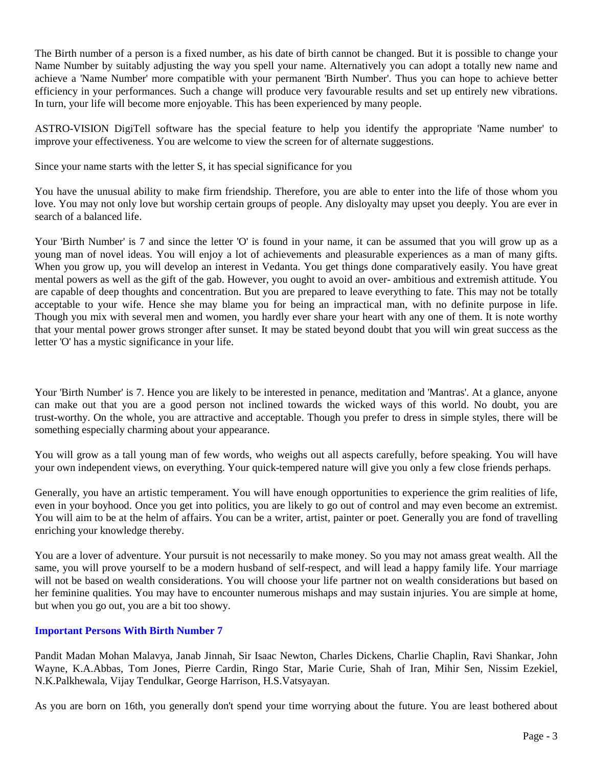The Birth number of a person is a fixed number, as his date of birth cannot be changed. But it is possible to change your Name Number by suitably adjusting the way you spell your name. Alternatively you can adopt a totally new name and achieve a 'Name Number' more compatible with your permanent 'Birth Number'. Thus you can hope to achieve better efficiency in your performances. Such a change will produce very favourable results and set up entirely new vibrations. In turn, your life will become more enjoyable. This has been experienced by many people.

ASTRO-VISION DigiTell software has the special feature to help you identify the appropriate 'Name number' to improve your effectiveness. You are welcome to view the screen for of alternate suggestions.

Since your name starts with the letter S, it has special significance for you

You have the unusual ability to make firm friendship. Therefore, you are able to enter into the life of those whom you love. You may not only love but worship certain groups of people. Any disloyalty may upset you deeply. You are ever in search of a balanced life.

Your 'Birth Number' is 7 and since the letter 'O' is found in your name, it can be assumed that you will grow up as a young man of novel ideas. You will enjoy a lot of achievements and pleasurable experiences as a man of many gifts. When you grow up, you will develop an interest in Vedanta. You get things done comparatively easily. You have great mental powers as well as the gift of the gab. However, you ought to avoid an over- ambitious and extremish attitude. You are capable of deep thoughts and concentration. But you are prepared to leave everything to fate. This may not be totally acceptable to your wife. Hence she may blame you for being an impractical man, with no definite purpose in life. Though you mix with several men and women, you hardly ever share your heart with any one of them. It is note worthy that your mental power grows stronger after sunset. It may be stated beyond doubt that you will win great success as the letter 'O' has a mystic significance in your life.

Your 'Birth Number' is 7. Hence you are likely to be interested in penance, meditation and 'Mantras'. At a glance, anyone can make out that you are a good person not inclined towards the wicked ways of this world. No doubt, you are trust-worthy. On the whole, you are attractive and acceptable. Though you prefer to dress in simple styles, there will be something especially charming about your appearance.

You will grow as a tall young man of few words, who weighs out all aspects carefully, before speaking. You will have your own independent views, on everything. Your quick-tempered nature will give you only a few close friends perhaps.

Generally, you have an artistic temperament. You will have enough opportunities to experience the grim realities of life, even in your boyhood. Once you get into politics, you are likely to go out of control and may even become an extremist. You will aim to be at the helm of affairs. You can be a writer, artist, painter or poet. Generally you are fond of travelling enriching your knowledge thereby.

You are a lover of adventure. Your pursuit is not necessarily to make money. So you may not amass great wealth. All the same, you will prove yourself to be a modern husband of self-respect, and will lead a happy family life. Your marriage will not be based on wealth considerations. You will choose your life partner not on wealth considerations but based on her feminine qualities. You may have to encounter numerous mishaps and may sustain injuries. You are simple at home, but when you go out, you are a bit too showy.

# **Important Persons With Birth Number 7**

Pandit Madan Mohan Malavya, Janab Jinnah, Sir Isaac Newton, Charles Dickens, Charlie Chaplin, Ravi Shankar, John Wayne, K.A.Abbas, Tom Jones, Pierre Cardin, Ringo Star, Marie Curie, Shah of Iran, Mihir Sen, Nissim Ezekiel, N.K.Palkhewala, Vijay Tendulkar, George Harrison, H.S.Vatsyayan.

As you are born on 16th, you generally don't spend your time worrying about the future. You are least bothered about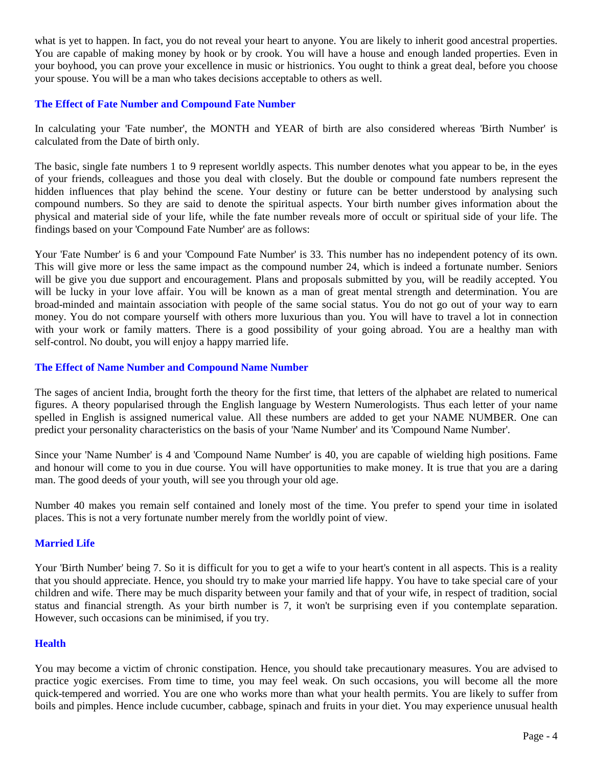what is yet to happen. In fact, you do not reveal your heart to anyone. You are likely to inherit good ancestral properties. You are capable of making money by hook or by crook. You will have a house and enough landed properties. Even in your boyhood, you can prove your excellence in music or histrionics. You ought to think a great deal, before you choose your spouse. You will be a man who takes decisions acceptable to others as well.

# **The Effect of Fate Number and Compound Fate Number**

In calculating your 'Fate number', the MONTH and YEAR of birth are also considered whereas 'Birth Number' is calculated from the Date of birth only.

The basic, single fate numbers 1 to 9 represent worldly aspects. This number denotes what you appear to be, in the eyes of your friends, colleagues and those you deal with closely. But the double or compound fate numbers represent the hidden influences that play behind the scene. Your destiny or future can be better understood by analysing such compound numbers. So they are said to denote the spiritual aspects. Your birth number gives information about the physical and material side of your life, while the fate number reveals more of occult or spiritual side of your life. The findings based on your 'Compound Fate Number' are as follows:

Your 'Fate Number' is 6 and your 'Compound Fate Number' is 33. This number has no independent potency of its own. This will give more or less the same impact as the compound number 24, which is indeed a fortunate number. Seniors will be give you due support and encouragement. Plans and proposals submitted by you, will be readily accepted. You will be lucky in your love affair. You will be known as a man of great mental strength and determination. You are broad-minded and maintain association with people of the same social status. You do not go out of your way to earn money. You do not compare yourself with others more luxurious than you. You will have to travel a lot in connection with your work or family matters. There is a good possibility of your going abroad. You are a healthy man with self-control. No doubt, you will enjoy a happy married life.

# **The Effect of Name Number and Compound Name Number**

The sages of ancient India, brought forth the theory for the first time, that letters of the alphabet are related to numerical figures. A theory popularised through the English language by Western Numerologists. Thus each letter of your name spelled in English is assigned numerical value. All these numbers are added to get your NAME NUMBER. One can predict your personality characteristics on the basis of your 'Name Number' and its 'Compound Name Number'.

Since your 'Name Number' is 4 and 'Compound Name Number' is 40, you are capable of wielding high positions. Fame and honour will come to you in due course. You will have opportunities to make money. It is true that you are a daring man. The good deeds of your youth, will see you through your old age.

Number 40 makes you remain self contained and lonely most of the time. You prefer to spend your time in isolated places. This is not a very fortunate number merely from the worldly point of view.

# **Married Life**

Your 'Birth Number' being 7. So it is difficult for you to get a wife to your heart's content in all aspects. This is a reality that you should appreciate. Hence, you should try to make your married life happy. You have to take special care of your children and wife. There may be much disparity between your family and that of your wife, in respect of tradition, social status and financial strength. As your birth number is 7, it won't be surprising even if you contemplate separation. However, such occasions can be minimised, if you try.

# **Health**

You may become a victim of chronic constipation. Hence, you should take precautionary measures. You are advised to practice yogic exercises. From time to time, you may feel weak. On such occasions, you will become all the more quick-tempered and worried. You are one who works more than what your health permits. You are likely to suffer from boils and pimples. Hence include cucumber, cabbage, spinach and fruits in your diet. You may experience unusual health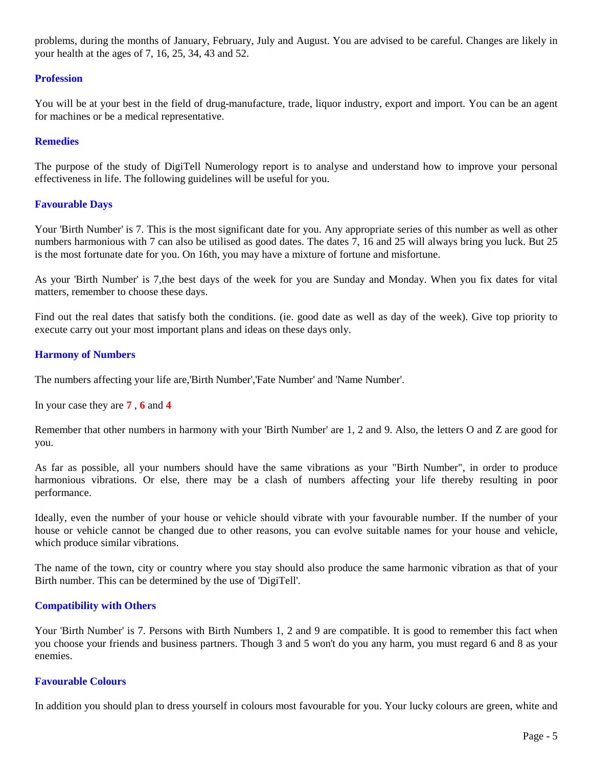problems, during the months of January, February, July and August. You are advised to be careful. Changes are likely in your health at the ages of 7, 16, 25, 34, 43 and 52.

## **Profession**

You will be at your best in the field of drug-manufacture, trade, liquor industry, export and import. You can be an agent for machines or be a medical representative.

## **Remedies**

The purpose of the study of DigiTell Numerology report is to analyse and understand how to improve your personal effectiveness in life. The following guidelines will be useful for you.

## **Favourable Days**

Your 'Birth Number' is 7. This is the most significant date for you. Any appropriate series of this number as well as other numbers harmonious with 7 can also be utilised as good dates. The dates 7, 16 and 25 will always bring you luck. But 25 is the most fortunate date for you. On 16th, you may have a mixture of fortune and misfortune.

As your 'Birth Number' is 7,the best days of the week for you are Sunday and Monday. When you fix dates for vital matters, remember to choose these days.

Find out the real dates that satisfy both the conditions. (ie. good date as well as day of the week). Give top priority to execute carry out your most important plans and ideas on these days only.

## **Harmony of Numbers**

The numbers affecting your life are,'Birth Number','Fate Number' and 'Name Number'.

In your case they are **7** , **6** and **4**

Remember that other numbers in harmony with your 'Birth Number' are 1, 2 and 9. Also, the letters O and Z are good for you.

As far as possible, all your numbers should have the same vibrations as your "Birth Number", in order to produce harmonious vibrations. Or else, there may be a clash of numbers affecting your life thereby resulting in poor performance.

Ideally, even the number of your house or vehicle should vibrate with your favourable number. If the number of your house or vehicle cannot be changed due to other reasons, you can evolve suitable names for your house and vehicle, which produce similar vibrations.

The name of the town, city or country where you stay should also produce the same harmonic vibration as that of your Birth number. This can be determined by the use of 'DigiTell'.

### **Compatibility with Others**

Your 'Birth Number' is 7. Persons with Birth Numbers 1, 2 and 9 are compatible. It is good to remember this fact when you choose your friends and business partners. Though 3 and 5 won't do you any harm, you must regard 6 and 8 as your enemies.

## **Favourable Colours**

In addition you should plan to dress yourself in colours most favourable for you. Your lucky colours are green, white and